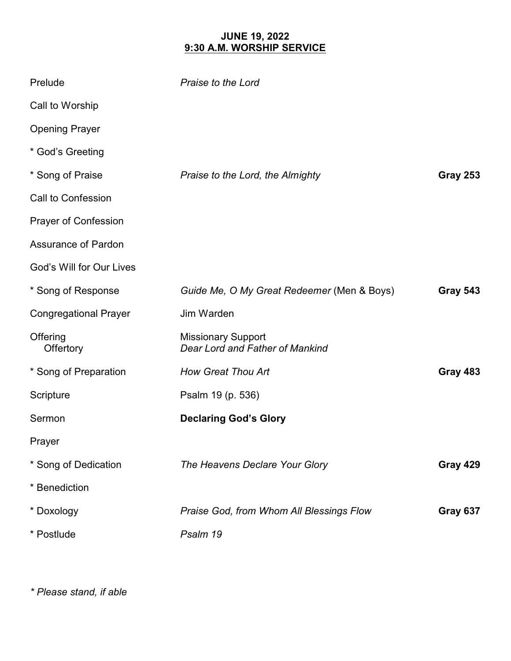## **JUNE 19, 2022 9:30 A.M. WORSHIP SERVICE**

| Prelude                      | Praise to the Lord                                           |                 |
|------------------------------|--------------------------------------------------------------|-----------------|
| Call to Worship              |                                                              |                 |
| <b>Opening Prayer</b>        |                                                              |                 |
| * God's Greeting             |                                                              |                 |
| * Song of Praise             | Praise to the Lord, the Almighty                             | <b>Gray 253</b> |
| <b>Call to Confession</b>    |                                                              |                 |
| <b>Prayer of Confession</b>  |                                                              |                 |
| <b>Assurance of Pardon</b>   |                                                              |                 |
| God's Will for Our Lives     |                                                              |                 |
| * Song of Response           | Guide Me, O My Great Redeemer (Men & Boys)                   | <b>Gray 543</b> |
| <b>Congregational Prayer</b> | Jim Warden                                                   |                 |
| Offering<br>Offertory        | <b>Missionary Support</b><br>Dear Lord and Father of Mankind |                 |
| * Song of Preparation        | <b>How Great Thou Art</b>                                    | <b>Gray 483</b> |
| Scripture                    | Psalm 19 (p. 536)                                            |                 |
| Sermon                       | <b>Declaring God's Glory</b>                                 |                 |
| Prayer                       |                                                              |                 |
| * Song of Dedication         | The Heavens Declare Your Glory                               | <b>Gray 429</b> |
| * Benediction                |                                                              |                 |
| * Doxology                   | Praise God, from Whom All Blessings Flow                     | Gray 637        |
| * Postlude                   | Psalm 19                                                     |                 |

*\* Please stand, if able*